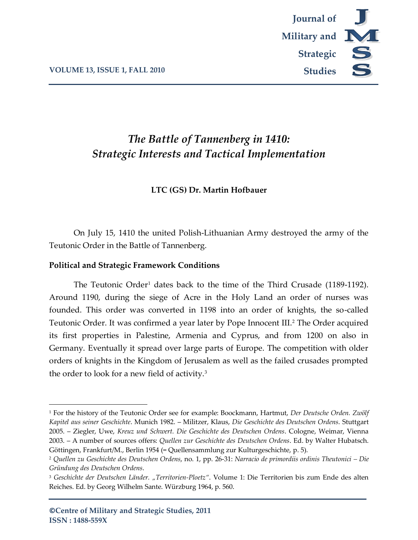

# *The Battle of Tannenberg in 1410: Strategic Interests and Tactical Implementation*

## **LTC (GS) Dr. Martin Hofbauer**

On July 15, 1410 the united Polish-Lithuanian Army destroyed the army of the Teutonic Order in the Battle of Tannenberg.

### **Political and Strategic Framework Conditions**

The Teutonic Order<sup>1</sup> dates back to the time of the Third Crusade  $(1189-1192)$ . Around 1190, during the siege of Acre in the Holy Land an order of nurses was founded. This order was converted in 1198 into an order of knights, the so-called Teutonic Order. It was confirmed a year later by Pope Innocent III.<sup>2</sup> The Order acquired its first properties in Palestine, Armenia and Cyprus, and from 1200 on also in Germany. Eventually it spread over large parts of Europe. The competition with older orders of knights in the Kingdom of Jerusalem as well as the failed crusades prompted the order to look for a new field of activity.<sup>3</sup>

<sup>1</sup> For the history of the Teutonic Order see for example: Boockmann, Hartmut, *Der Deutsche Orden. Zwölf Kapitel aus seiner Geschichte*. Munich 1982. – Militzer, Klaus, *Die Geschichte des Deutschen Ordens*. Stuttgart 2005. – Ziegler, Uwe, *Kreuz und Schwert. Die Geschichte des Deutschen Ordens*. Cologne, Weimar, Vienna 2003. – A number of sources offers: *Quellen zur Geschichte des Deutschen Ordens*. Ed. by Walter Hubatsch. Göttingen, Frankfurt/M., Berlin 1954 (= Quellensammlung zur Kulturgeschichte, p. 5).

<sup>2</sup> *Quellen zu Geschichte des Deutschen Ordens*, no. 1, pp. 26-31: *Narracio de primordiis ordinis Theutonici – Die Gründung des Deutschen Ordens*.

<sup>3</sup> *Geschichte der Deutschen Länder. "Territorien-Ploetz"*. Volume 1: Die Territorien bis zum Ende des alten Reiches. Ed. by Georg Wilhelm Sante. Würzburg 1964, p. 560.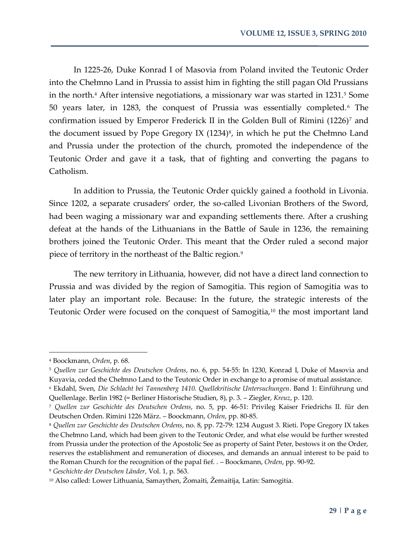In 1225-26, Duke Konrad I of Masovia from Poland invited the Teutonic Order into the Chełmno Land in Prussia to assist him in fighting the still pagan Old Prussians in the north.<sup>4</sup> After intensive negotiations, a missionary war was started in  $1231$ .<sup>5</sup> Some 50 years later, in 1283, the conquest of Prussia was essentially completed.<sup>6</sup> The confirmation issued by Emperor Frederick II in the Golden Bull of Rimini (1226)<sup>7</sup> and the document issued by Pope Gregory IX  $(1234)^8$ , in which he put the Chełmno Land and Prussia under the protection of the church, promoted the independence of the Teutonic Order and gave it a task, that of fighting and converting the pagans to Catholism.

In addition to Prussia, the Teutonic Order quickly gained a foothold in Livonia. Since 1202, a separate crusaders' order, the so-called Livonian Brothers of the Sword, had been waging a missionary war and expanding settlements there. After a crushing defeat at the hands of the Lithuanians in the Battle of Saule in 1236, the remaining brothers joined the Teutonic Order. This meant that the Order ruled a second major piece of territory in the northeast of the Baltic region.<sup>9</sup>

The new territory in Lithuania, however, did not have a direct land connection to Prussia and was divided by the region of Samogitia. This region of Samogitia was to later play an important role. Because: In the future, the strategic interests of the Teutonic Order were focused on the conquest of Samogitia,<sup>10</sup> the most important land

<sup>4</sup> Boockmann, *Orden*, p. 68.

<sup>5</sup> *Quellen zur Geschichte des Deutschen Ordens*, no. 6, pp. 54-55: In 1230, Konrad I, Duke of Masovia and Kuyavia, ceded the Chełmno Land to the Teutonic Order in exchange to a promise of mutual assistance.

<sup>6</sup> Ekdahl, Sven, *Die Schlacht bei Tannenberg 1410. Quellekritische Untersuchungen*. Band 1: Einführung und Quellenlage. Berlin 1982 (= Berliner Historische Studien, 8), p. 3. – Ziegler, *Kreuz*, p. 120.

<sup>7</sup> *Quellen zur Geschichte des Deutschen Ordens*, no. 5, pp. 46-51: Privileg Kaiser Friedrichs II. für den Deutschen Orden. Rimini 1226 März. – Boockmann, *Orden*, pp. 80-85.

<sup>8</sup> *Quellen zur Geschichte des Deutschen Ordens*, no. 8, pp. 72-79: 1234 August 3. Rieti. Pope Gregory IX takes the Chełmno Land, which had been given to the Teutonic Order, and what else would be further wrested from Prussia under the protection of the Apostolic See as property of Saint Peter, bestows it on the Order, reserves the establishment and remuneration of dioceses, and demands an annual interest to be paid to the Roman Church for the recognition of the papal fief. . – Boockmann, *Orden*, pp. 90-92.

<sup>9</sup> *Geschichte der Deutschen Länder*, Vol. 1, p. 563.

<sup>10</sup> Also called: Lower Lithuania, Samaythen, Žomaiti, Žemaitija, Latin: Samogitia.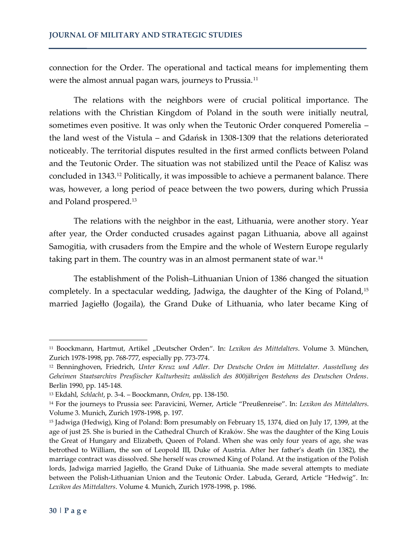connection for the Order. The operational and tactical means for implementing them were the almost annual pagan wars, journeys to Prussia.<sup>11</sup>

The relations with the neighbors were of crucial political importance. The relations with the Christian Kingdom of Poland in the south were initially neutral, sometimes even positive. It was only when the Teutonic Order conquered Pomerelia – the land west of the Vistula – and Gdańsk in 1308-1309 that the relations deteriorated noticeably. The territorial disputes resulted in the first armed conflicts between Poland and the Teutonic Order. The situation was not stabilized until the Peace of Kalisz was concluded in 1343.<sup>12</sup> Politically, it was impossible to achieve a permanent balance. There was, however, a long period of peace between the two powers, during which Prussia and Poland prospered.<sup>13</sup>

The relations with the neighbor in the east, Lithuania, were another story. Year after year, the Order conducted crusades against pagan Lithuania, above all against Samogitia, with crusaders from the Empire and the whole of Western Europe regularly taking part in them. The country was in an almost permanent state of war.<sup>14</sup>

The establishment of the Polish–Lithuanian Union of 1386 changed the situation completely. In a spectacular wedding, Jadwiga, the daughter of the King of Poland,<sup>15</sup> married Jagiełło (Jogaila), the Grand Duke of Lithuania, who later became King of

<sup>&</sup>lt;sup>11</sup> Boockmann, Hartmut, Artikel "Deutscher Orden". In: Lexikon des Mittelalters. Volume 3. München, Zurich 1978-1998, pp. 768-777, especially pp. 773-774.

<sup>12</sup> Benninghoven, Friedrich, *Unter Kreuz und Adler. Der Deutsche Orden im Mittelalter. Ausstellung des Geheimen Staatsarchivs Preußischer Kulturbesitz anlässlich des 800jährigen Bestehens des Deutschen Ordens*. Berlin 1990, pp. 145-148.

<sup>13</sup> Ekdahl, *Schlacht*, p. 3-4. – Boockmann, *Orden*, pp. 138-150.

<sup>14</sup> For the journeys to Prussia see: Paravicini, Werner, Article "Preußenreise". In: *Lexikon des Mittelalters*. Volume 3. Munich, Zurich 1978-1998, p. 197.

<sup>15</sup> Jadwiga (Hedwig), King of Poland: Born presumably on February 15, 1374, died on July 17, 1399, at the age of just 25. She is buried in the Cathedral Church of Kraków. She was the daughter of the King Louis the Great of Hungary and Elizabeth, Queen of Poland. When she was only four years of age, she was betrothed to William, the son of Leopold III, Duke of Austria. After her father's death (in 1382), the marriage contract was dissolved. She herself was crowned King of Poland. At the instigation of the Polish lords, Jadwiga married Jagiełło, the Grand Duke of Lithuania. She made several attempts to mediate between the Polish-Lithuanian Union and the Teutonic Order. Labuda, Gerard, Article "Hedwig". In: *Lexikon des Mittelalters*. Volume 4. Munich, Zurich 1978-1998, p. 1986.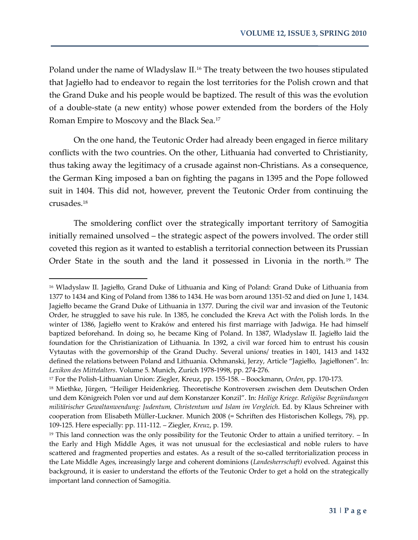Poland under the name of Wladyslaw II.<sup>16</sup> The treaty between the two houses stipulated that Jagiełło had to endeavor to regain the lost territories for the Polish crown and that the Grand Duke and his people would be baptized. The result of this was the evolution of a double-state (a new entity) whose power extended from the borders of the Holy Roman Empire to Moscovy and the Black Sea.<sup>17</sup>

On the one hand, the Teutonic Order had already been engaged in fierce military conflicts with the two countries. On the other, Lithuania had converted to Christianity, thus taking away the legitimacy of a crusade against non-Christians. As a consequence, the German King imposed a ban on fighting the pagans in 1395 and the Pope followed suit in 1404. This did not, however, prevent the Teutonic Order from continuing the crusades.<sup>18</sup>

The smoldering conflict over the strategically important territory of Samogitia initially remained unsolved – the strategic aspect of the powers involved. The order still coveted this region as it wanted to establish a territorial connection between its Prussian Order State in the south and the land it possessed in Livonia in the north.<sup>19</sup> The

<sup>16</sup> Wladyslaw II. Jagiełło, Grand Duke of Lithuania and King of Poland: Grand Duke of Lithuania from 1377 to 1434 and King of Poland from 1386 to 1434. He was born around 1351-52 and died on June 1, 1434. Jagiełło became the Grand Duke of Lithuania in 1377. During the civil war and invasion of the Teutonic Order, he struggled to save his rule. In 1385, he concluded the Kreva Act with the Polish lords. In the winter of 1386, Jagiełło went to Kraków and entered his first marriage with Jadwiga. He had himself baptized beforehand. In doing so, he became King of Poland. In 1387, Wladyslaw II. Jagiełło laid the foundation for the Christianization of Lithuania. In 1392, a civil war forced him to entrust his cousin Vytautas with the governorship of the Grand Duchy. Several unions/ treaties in 1401, 1413 and 1432 defined the relations between Poland and Lithuania. Ochmanski, Jerzy, Article "Jagiełło, Jagiełłonen". In: *Lexikon des Mittelalters*. Volume 5. Munich, Zurich 1978-1998, pp. 274-276.

<sup>17</sup> For the Polish-Lithuanian Union: Ziegler, Kreuz, pp. 155-158. – Boockmann, *Orden*, pp. 170-173.

<sup>&</sup>lt;sup>18</sup> Miethke, Jürgen, "Heiliger Heidenkrieg. Theoretische Kontroversen zwischen dem Deutschen Orden und dem Königreich Polen vor und auf dem Konstanzer Konzil". In: *Heilige Kriege. Religiöse Begründungen militärischer Gewaltanwendung: Judentum, Christentum und Islam im Vergleich*. Ed. by Klaus Schreiner with cooperation from Elisabeth Müller-Luckner. Munich 2008 (= Schriften des Historischen Kollegs, 78), pp. 109-125. Here especially: pp. 111-112. – Ziegler, *Kreuz*, p. 159.

<sup>&</sup>lt;sup>19</sup> This land connection was the only possibility for the Teutonic Order to attain a unified territory. - In the Early and High Middle Ages, it was not unusual for the ecclesiastical and noble rulers to have scattered and fragmented properties and estates. As a result of the so-called territorialization process in the Late Middle Ages, increasingly large and coherent dominions (*Landesherrschaft)* evolved. Against this background, it is easier to understand the efforts of the Teutonic Order to get a hold on the strategically important land connection of Samogitia.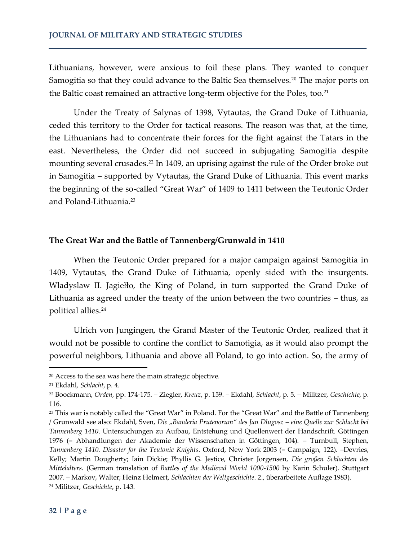Lithuanians, however, were anxious to foil these plans. They wanted to conquer Samogitia so that they could advance to the Baltic Sea themselves.<sup>20</sup> The major ports on the Baltic coast remained an attractive long-term objective for the Poles, too.<sup>21</sup>

Under the Treaty of Salynas of 1398, Vytautas, the Grand Duke of Lithuania, ceded this territory to the Order for tactical reasons. The reason was that, at the time, the Lithuanians had to concentrate their forces for the fight against the Tatars in the east. Nevertheless, the Order did not succeed in subjugating Samogitia despite mounting several crusades.<sup>22</sup> In 1409, an uprising against the rule of the Order broke out in Samogitia – supported by Vytautas, the Grand Duke of Lithuania. This event marks the beginning of the so-called "Great War" of 1409 to 1411 between the Teutonic Order and Poland-Lithuania.<sup>23</sup>

#### **The Great War and the Battle of Tannenberg/Grunwald in 1410**

When the Teutonic Order prepared for a major campaign against Samogitia in 1409, Vytautas, the Grand Duke of Lithuania, openly sided with the insurgents. Wladyslaw II. Jagiełło, the King of Poland, in turn supported the Grand Duke of Lithuania as agreed under the treaty of the union between the two countries – thus, as political allies. 24

Ulrich von Jungingen, the Grand Master of the Teutonic Order, realized that it would not be possible to confine the conflict to Samotigia, as it would also prompt the powerful neighbors, Lithuania and above all Poland, to go into action. So, the army of

<sup>20</sup> Access to the sea was here the main strategic objective.

<sup>21</sup> Ekdahl, *Schlacht*, p. 4.

<sup>22</sup> Boockmann, *Orden*, pp. 174-175. – Ziegler, *Kreuz*, p. 159. – Ekdahl, *Schlacht*, p. 5. – Militzer, *Geschichte*, p. 116.

<sup>&</sup>lt;sup>23</sup> This war is notably called the "Great War" in Poland. For the "Great War" and the Battle of Tannenberg / Grunwald see also: Ekdahl, Sven, *Die "Banderia Prutenorum" des Jan Dlugosz – eine Quelle zur Schlacht bei Tannenberg 1410*. Untersuchungen zu Aufbau, Entstehung und Quellenwert der Handschrift. Göttingen 1976 (= Abhandlungen der Akademie der Wissenschaften in Göttingen, 104). – Turnbull, Stephen, *Tannenberg 1410. Disaster for the Teutonic Knights*. Oxford, New York 2003 (= Campaign, 122). –Devries, Kelly; Martin Dougherty; Iain Dickie; Phyllis G. Jestice, Christer Jorgensen, *Die großen Schlachten des Mittelalters*. (German translation of *Battles of the Medieval World 1000-1500* by Karin Schuler). Stuttgart 2007. – Markov, Walter; Heinz Helmert, *Schlachten der Weltgeschichte*. 2., überarbeitete Auflage 1983). <sup>24</sup> Militzer, *Geschichte*, p. 143.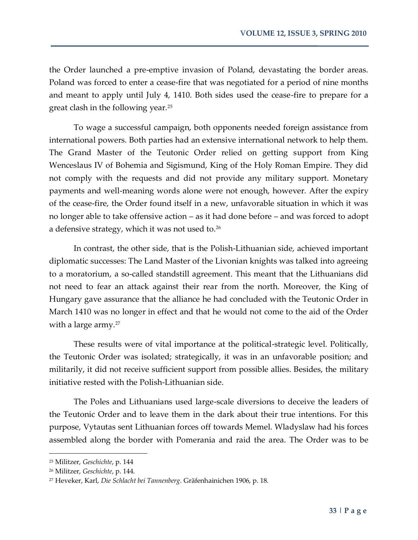the Order launched a pre-emptive invasion of Poland, devastating the border areas. Poland was forced to enter a cease-fire that was negotiated for a period of nine months and meant to apply until July 4, 1410. Both sides used the cease-fire to prepare for a great clash in the following year.<sup>25</sup>

To wage a successful campaign, both opponents needed foreign assistance from international powers. Both parties had an extensive international network to help them. The Grand Master of the Teutonic Order relied on getting support from King Wenceslaus IV of Bohemia and Sigismund, King of the Holy Roman Empire. They did not comply with the requests and did not provide any military support. Monetary payments and well-meaning words alone were not enough, however. After the expiry of the cease-fire, the Order found itself in a new, unfavorable situation in which it was no longer able to take offensive action – as it had done before – and was forced to adopt a defensive strategy, which it was not used to.<sup>26</sup>

In contrast, the other side, that is the Polish-Lithuanian side, achieved important diplomatic successes: The Land Master of the Livonian knights was talked into agreeing to a moratorium, a so-called standstill agreement. This meant that the Lithuanians did not need to fear an attack against their rear from the north. Moreover, the King of Hungary gave assurance that the alliance he had concluded with the Teutonic Order in March 1410 was no longer in effect and that he would not come to the aid of the Order with a large army.<sup>27</sup>

These results were of vital importance at the political-strategic level. Politically, the Teutonic Order was isolated; strategically, it was in an unfavorable position; and militarily, it did not receive sufficient support from possible allies. Besides, the military initiative rested with the Polish-Lithuanian side.

The Poles and Lithuanians used large-scale diversions to deceive the leaders of the Teutonic Order and to leave them in the dark about their true intentions. For this purpose, Vytautas sent Lithuanian forces off towards Memel. Wladyslaw had his forces assembled along the border with Pomerania and raid the area. The Order was to be

<sup>25</sup> Militzer, *Geschichte*, p. 144

<sup>26</sup> Militzer, *Geschichte*, p. 144.

<sup>27</sup> Heveker, Karl, *Die Schlacht bei Tannenberg*. Gräfenhainichen 1906, p. 18.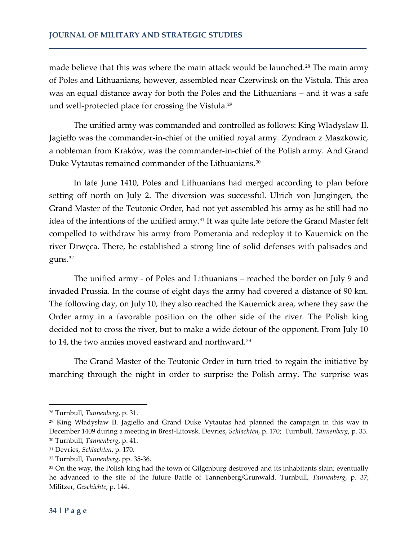made believe that this was where the main attack would be launched.<sup>28</sup> The main army of Poles and Lithuanians, however, assembled near Czerwinsk on the Vistula. This area was an equal distance away for both the Poles and the Lithuanians – and it was a safe und well-protected place for crossing the Vistula.<sup>29</sup>

The unified army was commanded and controlled as follows: King Wladyslaw II. Jagiełło was the commander-in-chief of the unified royal army. Zyndram z Maszkowic, a nobleman from Kraków, was the commander-in-chief of the Polish army. And Grand Duke Vytautas remained commander of the Lithuanians.<sup>30</sup>

In late June 1410, Poles and Lithuanians had merged according to plan before setting off north on July 2. The diversion was successful. Ulrich von Jungingen, the Grand Master of the Teutonic Order, had not yet assembled his army as he still had no idea of the intentions of the unified army.<sup>31</sup> It was quite late before the Grand Master felt compelled to withdraw his army from Pomerania and redeploy it to Kauernick on the river Drwęca. There, he established a strong line of solid defenses with palisades and guns.<sup>32</sup>

The unified army - of Poles and Lithuanians – reached the border on July 9 and invaded Prussia. In the course of eight days the army had covered a distance of 90 km. The following day, on July 10, they also reached the Kauernick area, where they saw the Order army in a favorable position on the other side of the river. The Polish king decided not to cross the river, but to make a wide detour of the opponent. From July 10 to 14, the two armies moved eastward and northward.<sup>33</sup>

The Grand Master of the Teutonic Order in turn tried to regain the initiative by marching through the night in order to surprise the Polish army. The surprise was

<sup>28</sup> Turnbull, *Tannenberg*, p. 31.

<sup>29</sup> King Władysław II. Jagiełło and Grand Duke Vytautas had planned the campaign in this way in December 1409 during a meeting in Brest-Litovsk. Devries, *Schlachten*, p. 170; Turnbull, *Tannenberg*, p. 33. <sup>30</sup> Turnbull, *Tannenberg*, p. 41.

<sup>31</sup> Devries, *Schlachten*, p. 170.

<sup>32</sup> Turnbull, *Tannenberg*, pp. 35-36.

<sup>33</sup> On the way, the Polish king had the town of Gilgenburg destroyed and its inhabitants slain; eventually he advanced to the site of the future Battle of Tannenberg/Grunwald. Turnbull, *Tannenberg*, p. 37; Militzer, *Geschichte*, p. 144.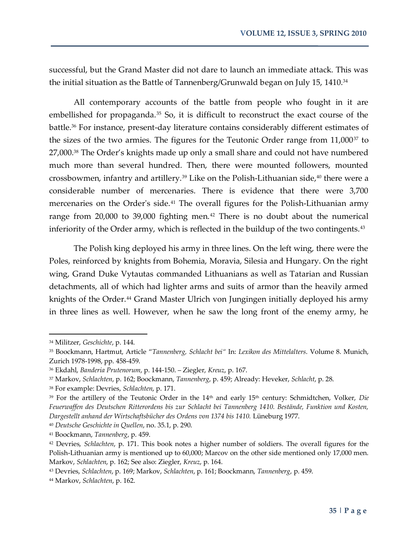successful, but the Grand Master did not dare to launch an immediate attack. This was the initial situation as the Battle of Tannenberg/Grunwald began on July 15, 1410.<sup>34</sup>

All contemporary accounts of the battle from people who fought in it are embellished for propaganda.<sup>35</sup> So, it is difficult to reconstruct the exact course of the battle.<sup>36</sup> For instance, present-day literature contains considerably different estimates of the sizes of the two armies. The figures for the Teutonic Order range from 11,000<sup>37</sup> to 27,000.<sup>38</sup> The Order's knights made up only a small share and could not have numbered much more than several hundred. Then, there were mounted followers, mounted crossbowmen, infantry and artillery.<sup>39</sup> Like on the Polish-Lithuanian side,<sup>40</sup> there were a considerable number of mercenaries. There is evidence that there were 3,700 mercenaries on the Order's side.<sup>41</sup> The overall figures for the Polish-Lithuanian army range from  $20,000$  to  $39,000$  fighting men.<sup>42</sup> There is no doubt about the numerical inferiority of the Order army, which is reflected in the buildup of the two contingents.<sup>43</sup>

The Polish king deployed his army in three lines. On the left wing, there were the Poles, reinforced by knights from Bohemia, Moravia, Silesia and Hungary. On the right wing, Grand Duke Vytautas commanded Lithuanians as well as Tatarian and Russian detachments, all of which had lighter arms and suits of armor than the heavily armed knights of the Order.<sup>44</sup> Grand Master Ulrich von Jungingen initially deployed his army in three lines as well. However, when he saw the long front of the enemy army, he

 $\overline{a}$ 

<sup>40</sup> *Deutsche Geschichte in Quellen*, no. 35.1, p. 290.

<sup>34</sup> Militzer, *Geschichte*, p. 144.

<sup>35</sup> Boockmann, Hartmut, Article "*Tannenberg, Schlacht bei"* In: *Lexikon des Mittelalters*. Volume 8. Munich, Zurich 1978-1998, pp. 458-459.

<sup>36</sup> Ekdahl, *Banderia Prutenorum*, p. 144-150. – Ziegler, *Kreuz*, p. 167.

<sup>37</sup> Markov, *Schlachten*, p. 162; Boockmann, *Tannenberg*, p. 459; Already: Heveker, *Schlacht*, p. 28.

<sup>38</sup> For example: Devries, *Schlachten*, p. 171.

<sup>&</sup>lt;sup>39</sup> For the artillery of the Teutonic Order in the 14<sup>th</sup> and early 15<sup>th</sup> century: Schmidtchen, Volker, *Die Feuerwaffen des Deutschen Ritterordens bis zur Schlacht bei Tannenberg 1410. Bestände, Funktion und Kosten, Dargestellt anhand der Wirtschaftsbücher des Ordens von 1374 bis 1410.* Lüneburg 1977.

<sup>41</sup> Boockmann, *Tannenberg*, p. 459.

<sup>42</sup> Devries, *Schlachten*, p. 171. This book notes a higher number of soldiers. The overall figures for the Polish-Lithuanian army is mentioned up to 60,000; Marcov on the other side mentioned only 17,000 men. Markov, *Schlachten*, p. 162; See also: Ziegler, *Kreuz*, p. 164.

<sup>43</sup> Devries, *Schlachten*, p. 169; Markov, *Schlachten*, p. 161; Boockmann, *Tannenberg*, p. 459.

<sup>44</sup> Markov, *Schlachten*, p. 162.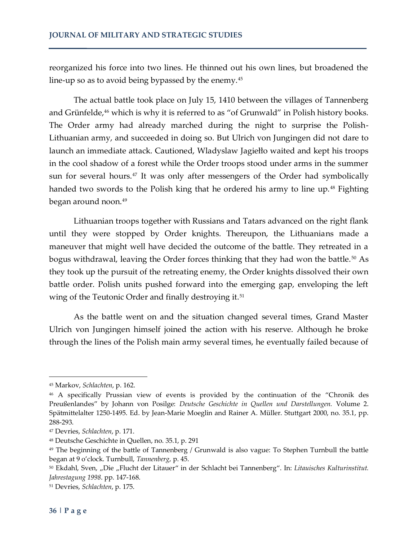reorganized his force into two lines. He thinned out his own lines, but broadened the line-up so as to avoid being bypassed by the enemy.<sup>45</sup>

The actual battle took place on July 15, 1410 between the villages of Tannenberg and Grünfelde,<sup>46</sup> which is why it is referred to as "of Grunwald" in Polish history books. The Order army had already marched during the night to surprise the Polish-Lithuanian army, and succeeded in doing so. But Ulrich von Jungingen did not dare to launch an immediate attack. Cautioned, Wladyslaw Jagiełło waited and kept his troops in the cool shadow of a forest while the Order troops stood under arms in the summer sun for several hours.<sup>47</sup> It was only after messengers of the Order had symbolically handed two swords to the Polish king that he ordered his army to line up.<sup>48</sup> Fighting began around noon.<sup>49</sup>

Lithuanian troops together with Russians and Tatars advanced on the right flank until they were stopped by Order knights. Thereupon, the Lithuanians made a maneuver that might well have decided the outcome of the battle. They retreated in a bogus withdrawal, leaving the Order forces thinking that they had won the battle.<sup>50</sup> As they took up the pursuit of the retreating enemy, the Order knights dissolved their own battle order. Polish units pushed forward into the emerging gap, enveloping the left wing of the Teutonic Order and finally destroying it.<sup>51</sup>

As the battle went on and the situation changed several times, Grand Master Ulrich von Jungingen himself joined the action with his reserve. Although he broke through the lines of the Polish main army several times, he eventually failed because of

<sup>45</sup> Markov, *Schlachten*, p. 162.

<sup>46</sup> A specifically Prussian view of events is provided by the continuation of the "Chronik des Preußenlandes" by Johann von Posilge: *Deutsche Geschichte in Quellen und Darstellungen.* Volume 2. Spätmittelalter 1250-1495. Ed. by Jean-Marie Moeglin and Rainer A. Müller. Stuttgart 2000, no. 35.1, pp. 288-293.

<sup>47</sup> Devries, *Schlachten*, p. 171.

<sup>48</sup> Deutsche Geschichte in Quellen, no. 35.1, p. 291

<sup>49</sup> The beginning of the battle of Tannenberg / Grunwald is also vague: To Stephen Turnbull the battle began at 9 o'clock. Turnbull, *Tannenberg*, p. 45.

<sup>50</sup> Ekdahl, Sven, "Die "Flucht der Litauer" in der Schlacht bei Tannenberg". In: Litauisches Kulturinstitut. *Jahrestagung 1998*. pp. 147-168.

<sup>51</sup> Devries, *Schlachten*, p. 175.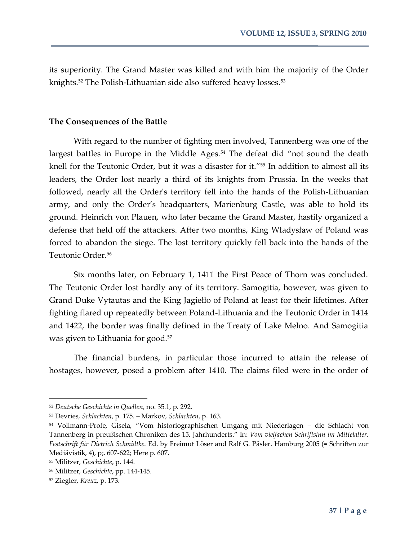its superiority. The Grand Master was killed and with him the majority of the Order knights.<sup>52</sup> The Polish-Lithuanian side also suffered heavy losses.<sup>53</sup>

#### **The Consequences of the Battle**

With regard to the number of fighting men involved, Tannenberg was one of the largest battles in Europe in the Middle Ages.<sup>54</sup> The defeat did "not sound the death knell for the Teutonic Order, but it was a disaster for it."<sup>55</sup> In addition to almost all its leaders, the Order lost nearly a third of its knights from Prussia. In the weeks that followed, nearly all the Order's territory fell into the hands of the Polish-Lithuanian army, and only the Order's headquarters, Marienburg Castle, was able to hold its ground. Heinrich von Plauen, who later became the Grand Master, hastily organized a defense that held off the attackers. After two months, King Władysław of Poland was forced to abandon the siege. The lost territory quickly fell back into the hands of the Teutonic Order.<sup>56</sup>

Six months later, on February 1, 1411 the First Peace of Thorn was concluded. The Teutonic Order lost hardly any of its territory. Samogitia, however, was given to Grand Duke Vytautas and the King Jagiełło of Poland at least for their lifetimes. After fighting flared up repeatedly between Poland-Lithuania and the Teutonic Order in 1414 and 1422, the border was finally defined in the Treaty of Lake Melno. And Samogitia was given to Lithuania for good.<sup>57</sup>

The financial burdens, in particular those incurred to attain the release of hostages, however, posed a problem after 1410. The claims filed were in the order of

<sup>52</sup> *Deutsche Geschichte in Quellen*, no. 35.1, p. 292.

<sup>53</sup> Devries, *Schlachten*, p. 175. – Markov, *Schlachten*, p. 163.

<sup>54</sup> Vollmann-Profe, Gisela, "Vom historiographischen Umgang mit Niederlagen – die Schlacht von Tannenberg in preußischen Chroniken des 15. Jahrhunderts." In: *Vom vielfachen Schriftsinn im Mittelalter. Festschrift für Dietrich Schmidtke*. Ed. by Freimut Löser and Ralf G. Päsler. Hamburg 2005 (= Schriften zur Mediävistik, 4), p;. 607-622; Here p. 607.

<sup>55</sup> Militzer, *Geschichte*, p. 144.

<sup>56</sup> Militzer, *Geschichte*, pp. 144-145.

<sup>57</sup> Ziegler, *Kreuz*, p. 173.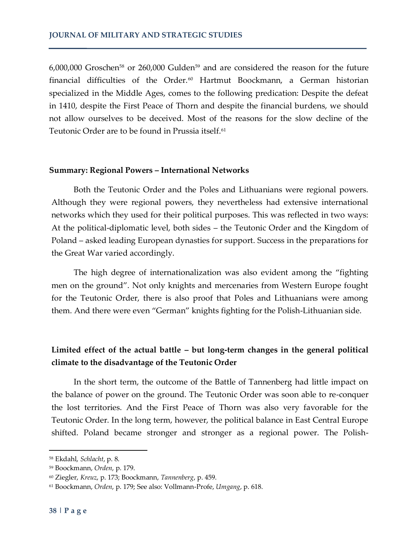6,000,000 Groschen<sup>58</sup> or 260,000 Gulden<sup>59</sup> and are considered the reason for the future financial difficulties of the Order.<sup>60</sup> Hartmut Boockmann, a German historian specialized in the Middle Ages, comes to the following predication: Despite the defeat in 1410, despite the First Peace of Thorn and despite the financial burdens, we should not allow ourselves to be deceived. Most of the reasons for the slow decline of the Teutonic Order are to be found in Prussia itself.<sup>61</sup>

#### **Summary: Regional Powers – International Networks**

Both the Teutonic Order and the Poles and Lithuanians were regional powers. Although they were regional powers, they nevertheless had extensive international networks which they used for their political purposes. This was reflected in two ways: At the political-diplomatic level, both sides – the Teutonic Order and the Kingdom of Poland – asked leading European dynasties for support. Success in the preparations for the Great War varied accordingly.

The high degree of internationalization was also evident among the "fighting men on the ground". Not only knights and mercenaries from Western Europe fought for the Teutonic Order, there is also proof that Poles and Lithuanians were among them. And there were even "German" knights fighting for the Polish-Lithuanian side.

## **Limited effect of the actual battle – but long-term changes in the general political climate to the disadvantage of the Teutonic Order**

In the short term, the outcome of the Battle of Tannenberg had little impact on the balance of power on the ground. The Teutonic Order was soon able to re-conquer the lost territories. And the First Peace of Thorn was also very favorable for the Teutonic Order. In the long term, however, the political balance in East Central Europe shifted. Poland became stronger and stronger as a regional power. The Polish-

<sup>58</sup> Ekdahl, *Schlacht*, p. 8.

<sup>59</sup> Boockmann, *Orden*, p. 179.

<sup>60</sup> Ziegler, *Kreuz*, p. 173; Boockmann, *Tannenberg*, p. 459.

<sup>61</sup> Boockmann, *Orden*, p. 179; See also: Vollmann-Profe, *Umgang*, p. 618.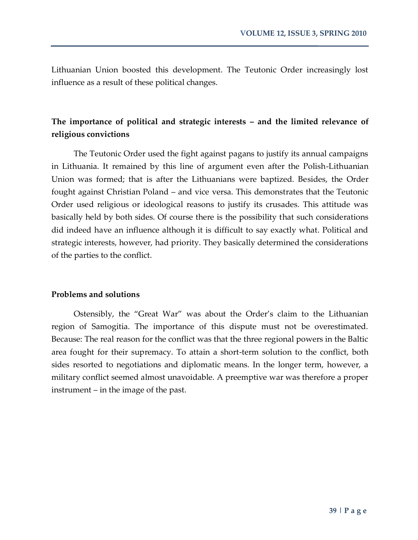Lithuanian Union boosted this development. The Teutonic Order increasingly lost influence as a result of these political changes.

## **The importance of political and strategic interests – and the limited relevance of religious convictions**

The Teutonic Order used the fight against pagans to justify its annual campaigns in Lithuania. It remained by this line of argument even after the Polish-Lithuanian Union was formed; that is after the Lithuanians were baptized. Besides, the Order fought against Christian Poland – and vice versa. This demonstrates that the Teutonic Order used religious or ideological reasons to justify its crusades. This attitude was basically held by both sides. Of course there is the possibility that such considerations did indeed have an influence although it is difficult to say exactly what. Political and strategic interests, however, had priority. They basically determined the considerations of the parties to the conflict.

#### **Problems and solutions**

Ostensibly, the "Great War" was about the Order's claim to the Lithuanian region of Samogitia. The importance of this dispute must not be overestimated. Because: The real reason for the conflict was that the three regional powers in the Baltic area fought for their supremacy. To attain a short-term solution to the conflict, both sides resorted to negotiations and diplomatic means. In the longer term, however, a military conflict seemed almost unavoidable. A preemptive war was therefore a proper instrument – in the image of the past.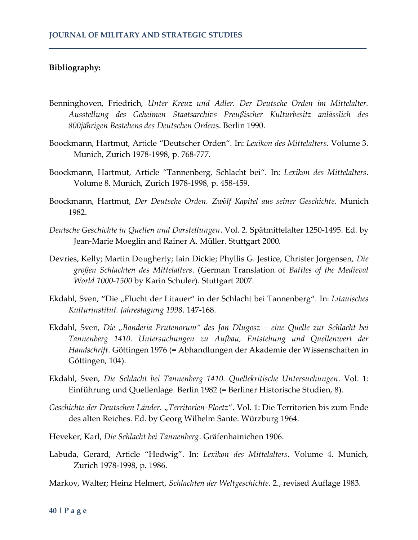#### **Bibliography:**

- Benninghoven, Friedrich, *Unter Kreuz und Adler. Der Deutsche Orden im Mittelalter. Ausstellung des Geheimen Staatsarchivs Preußischer Kulturbesitz anlässlich des 800jährigen Bestehens des Deutschen Orden*s. Berlin 1990.
- Boockmann, Hartmut, Article "Deutscher Orden". In: *Lexikon des Mittelalters*. Volume 3. Munich, Zurich 1978-1998, p. 768-777.
- Boockmann, Hartmut, Article "Tannenberg, Schlacht bei". In: *Lexikon des Mittelalters*. Volume 8. Munich, Zurich 1978-1998, p. 458-459.
- Boockmann, Hartmut, *Der Deutsche Orden. Zwölf Kapitel aus seiner Geschichte*. Munich 1982.
- *Deutsche Geschichte in Quellen und Darstellungen*. Vol. 2. Spätmittelalter 1250-1495. Ed. by Jean-Marie Moeglin and Rainer A. Müller. Stuttgart 2000.
- Devries, Kelly; Martin Dougherty; Iain Dickie; Phyllis G. Jestice, Christer Jorgensen, *Die großen Schlachten des Mittelalters*. (German Translation of *Battles of the Medieval World 1000-1500* by Karin Schuler). Stuttgart 2007.
- Ekdahl, Sven, "Die "Flucht der Litauer" in der Schlacht bei Tannenberg". In: Litauisches *Kulturinstitut. Jahrestagung 1998*. 147-168.
- Ekdahl, Sven, *Die "Banderia Prutenorum" des Jan Dlugosz – eine Quelle zur Schlacht bei Tannenberg 1410. Untersuchungen zu Aufbau, Entstehung und Quellenwert der Handschrift*. Göttingen 1976 (= Abhandlungen der Akademie der Wissenschaften in Göttingen, 104).
- Ekdahl, Sven, *Die Schlacht bei Tannenberg 1410. Quellekritische Untersuchungen*. Vol. 1: Einführung und Quellenlage. Berlin 1982 (= Berliner Historische Studien, 8).
- *Geschichte der Deutschen Länder. "Territorien-Ploetz*". Vol. 1: Die Territorien bis zum Ende des alten Reiches. Ed. by Georg Wilhelm Sante. Würzburg 1964.
- Heveker, Karl, *Die Schlacht bei Tannenberg*. Gräfenhainichen 1906.
- Labuda, Gerard, Article "Hedwig". In: *Lexikon des Mittelalters*. Volume 4. Munich, Zurich 1978-1998, p. 1986.

Markov, Walter; Heinz Helmert, *Schlachten der Weltgeschichte*. 2., revised Auflage 1983.